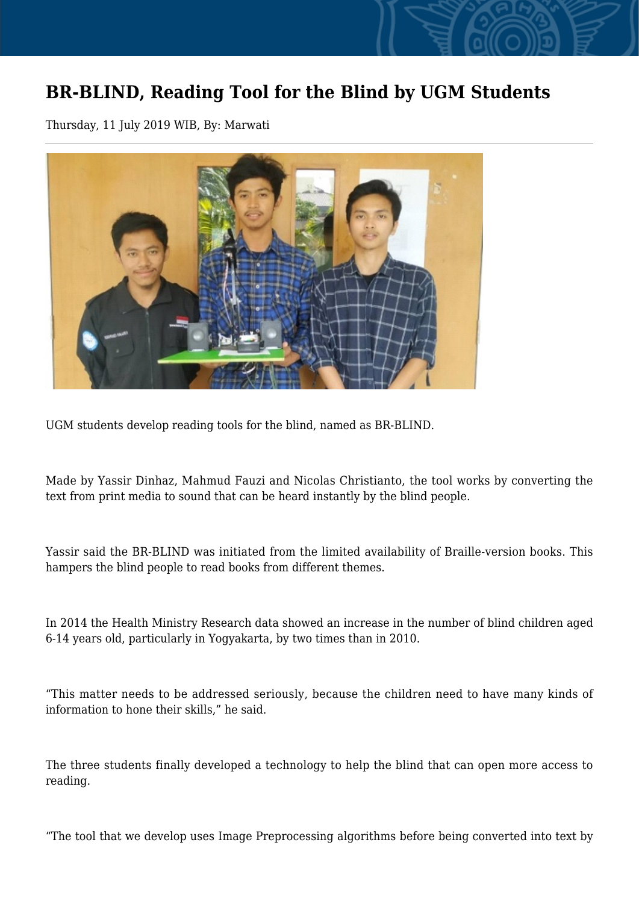## **BR-BLIND, Reading Tool for the Blind by UGM Students**

Thursday, 11 July 2019 WIB, By: Marwati



UGM students develop reading tools for the blind, named as BR-BLIND.

Made by Yassir Dinhaz, Mahmud Fauzi and Nicolas Christianto, the tool works by converting the text from print media to sound that can be heard instantly by the blind people.

Yassir said the BR-BLIND was initiated from the limited availability of Braille-version books. This hampers the blind people to read books from different themes.

In 2014 the Health Ministry Research data showed an increase in the number of blind children aged 6-14 years old, particularly in Yogyakarta, by two times than in 2010.

"This matter needs to be addressed seriously, because the children need to have many kinds of information to hone their skills," he said.

The three students finally developed a technology to help the blind that can open more access to reading.

"The tool that we develop uses Image Preprocessing algorithms before being converted into text by